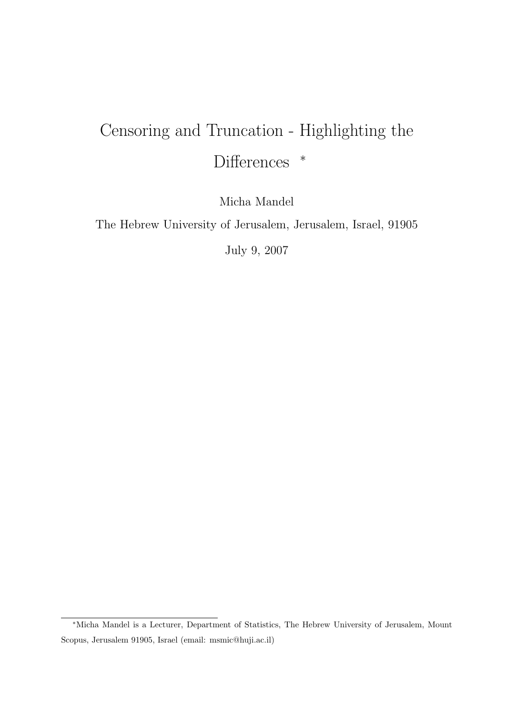# Censoring and Truncation - Highlighting the Differences <sup>\*</sup>

Micha Mandel

The Hebrew University of Jerusalem, Jerusalem, Israel, 91905

July 9, 2007

<sup>∗</sup>Micha Mandel is a Lecturer, Department of Statistics, The Hebrew University of Jerusalem, Mount Scopus, Jerusalem 91905, Israel (email: msmic@huji.ac.il)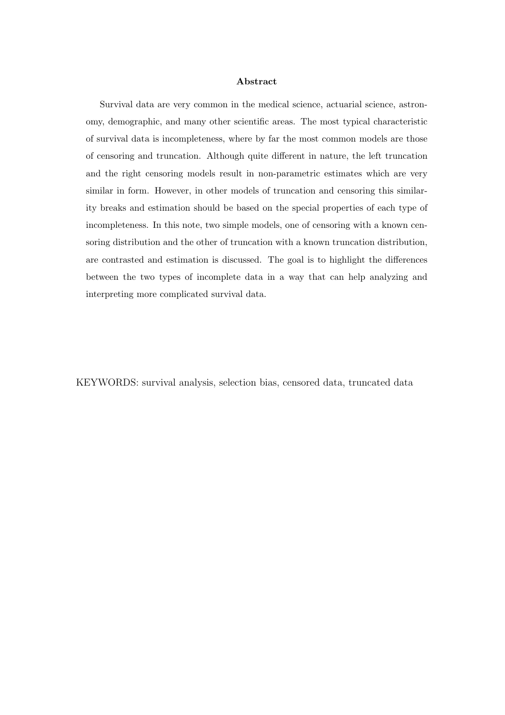#### Abstract

Survival data are very common in the medical science, actuarial science, astronomy, demographic, and many other scientific areas. The most typical characteristic of survival data is incompleteness, where by far the most common models are those of censoring and truncation. Although quite different in nature, the left truncation and the right censoring models result in non-parametric estimates which are very similar in form. However, in other models of truncation and censoring this similarity breaks and estimation should be based on the special properties of each type of incompleteness. In this note, two simple models, one of censoring with a known censoring distribution and the other of truncation with a known truncation distribution, are contrasted and estimation is discussed. The goal is to highlight the differences between the two types of incomplete data in a way that can help analyzing and interpreting more complicated survival data.

KEYWORDS: survival analysis, selection bias, censored data, truncated data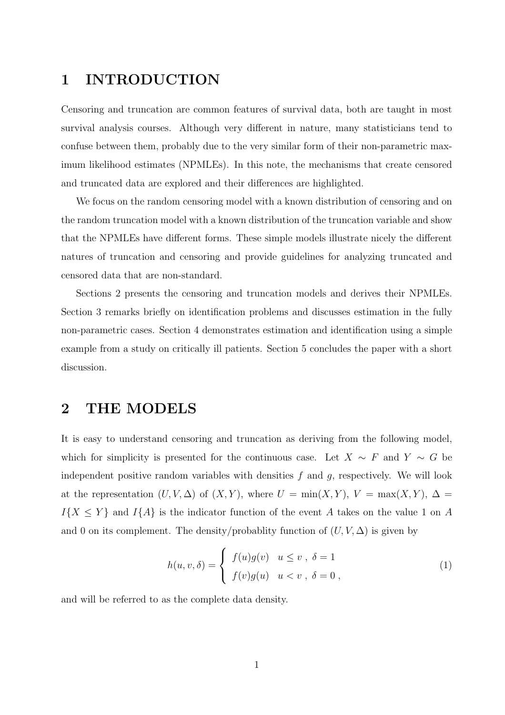# 1 INTRODUCTION

Censoring and truncation are common features of survival data, both are taught in most survival analysis courses. Although very different in nature, many statisticians tend to confuse between them, probably due to the very similar form of their non-parametric maximum likelihood estimates (NPMLEs). In this note, the mechanisms that create censored and truncated data are explored and their differences are highlighted.

We focus on the random censoring model with a known distribution of censoring and on the random truncation model with a known distribution of the truncation variable and show that the NPMLEs have different forms. These simple models illustrate nicely the different natures of truncation and censoring and provide guidelines for analyzing truncated and censored data that are non-standard.

Sections 2 presents the censoring and truncation models and derives their NPMLEs. Section 3 remarks briefly on identification problems and discusses estimation in the fully non-parametric cases. Section 4 demonstrates estimation and identification using a simple example from a study on critically ill patients. Section 5 concludes the paper with a short discussion.

### 2 THE MODELS

It is easy to understand censoring and truncation as deriving from the following model, which for simplicity is presented for the continuous case. Let  $X \sim F$  and  $Y \sim G$  be independent positive random variables with densities  $f$  and  $g$ , respectively. We will look at the representation  $(U, V, \Delta)$  of  $(X, Y)$ , where  $U = \min(X, Y)$ ,  $V = \max(X, Y)$ ,  $\Delta =$  $I{X \leq Y}$  and  $I{A}$  is the indicator function of the event A takes on the value 1 on A and 0 on its complement. The density/probablity function of  $(U, V, \Delta)$  is given by

$$
h(u, v, \delta) = \begin{cases} f(u)g(v) & u \le v , \delta = 1 \\ f(v)g(u) & u < v , \delta = 0 , \end{cases}
$$
 (1)

and will be referred to as the complete data density.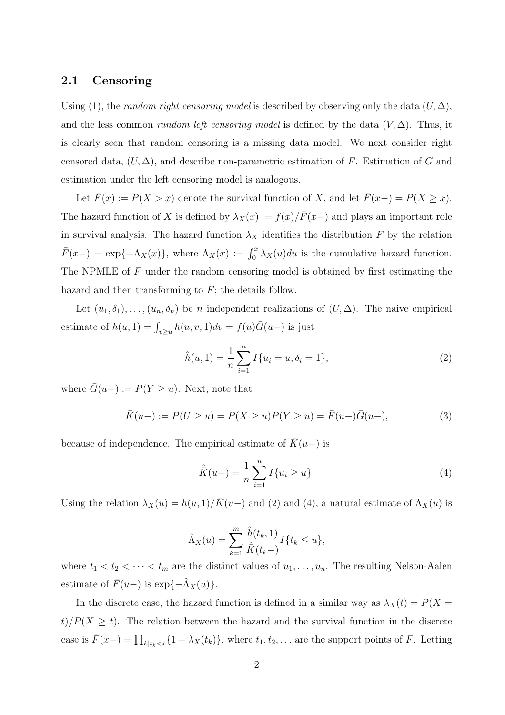#### 2.1 Censoring

Using (1), the *random right censoring model* is described by observing only the data  $(U, \Delta)$ , and the less common *random left censoring model* is defined by the data  $(V, \Delta)$ . Thus, it is clearly seen that random censoring is a missing data model. We next consider right censored data,  $(U, \Delta)$ , and describe non-parametric estimation of F. Estimation of G and estimation under the left censoring model is analogous.

Let  $\bar{F}(x) := P(X > x)$  denote the survival function of X, and let  $\bar{F}(x-) = P(X \ge x)$ . The hazard function of X is defined by  $\lambda_X(x) := f(x)/\overline{F}(x-)$  and plays an important role in survival analysis. The hazard function  $\lambda_X$  identifies the distribution F by the relation  $\bar{F}(x-) = \exp{-\Lambda_X(x)}$ , where  $\Lambda_X(x) := \int_0^x \lambda_X(u) du$  is the cumulative hazard function. The NPMLE of F under the random censoring model is obtained by first estimating the hazard and then transforming to  $F$ ; the details follow.

Let  $(u_1, \delta_1), \ldots, (u_n, \delta_n)$  be n independent realizations of  $(U, \Delta)$ . The naive empirical estimate of  $h(u, 1) = \int_{v \ge u} h(u, v, 1) dv = f(u)\overline{G}(u-)$  is just

$$
\hat{h}(u,1) = \frac{1}{n} \sum_{i=1}^{n} I\{u_i = u, \delta_i = 1\},\tag{2}
$$

where  $\bar{G}(u-) := P(Y \ge u)$ . Next, note that

$$
\bar{K}(u-) := P(U \ge u) = P(X \ge u)P(Y \ge u) = \bar{F}(u-) \bar{G}(u-),
$$
\n(3)

because of independence. The empirical estimate of  $\overline{K}(u-)$  is

$$
\hat{K}(u-) = \frac{1}{n} \sum_{i=1}^{n} I\{u_i \ge u\}.
$$
\n(4)

Using the relation  $\lambda_X(u) = h(u, 1)/\bar{K}(u-)$  and (2) and (4), a natural estimate of  $\Lambda_X(u)$  is

$$
\hat{\Lambda}_X(u) = \sum_{k=1}^m \frac{\hat{h}(t_k, 1)}{\hat{K}(t_k-)} I\{t_k \le u\},
$$

where  $t_1 < t_2 < \cdots < t_m$  are the distinct values of  $u_1, \ldots, u_n$ . The resulting Nelson-Aalen estimate of  $\bar{F}(u-)$  is  $\exp{\{-\hat{\Lambda}_X(u)\}}$ .

In the discrete case, the hazard function is defined in a similar way as  $\lambda_X(t) = P(X =$  $t$ / $P(X \ge t)$ . The relation between the hazard and the survival function in the discrete case is  $\bar{F}(x-) = \prod_{k|t_k < x} \{1 - \lambda_X(t_k)\}\,$ , where  $t_1, t_2, \ldots$  are the support points of F. Letting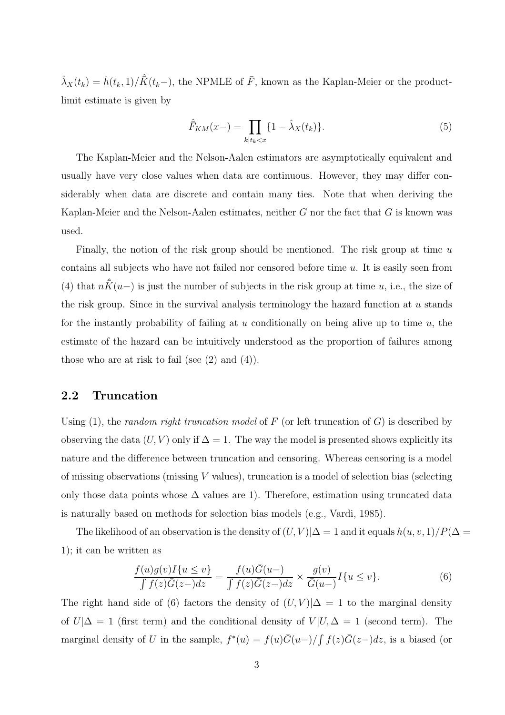$\hat{\lambda}_X(t_k) = \hat{h}(t_k, 1)/\hat{K}(t_k-)$ , the NPMLE of  $\bar{F}$ , known as the Kaplan-Meier or the productlimit estimate is given by

$$
\hat{F}_{KM}(x-) = \prod_{k|t_k < x} \{1 - \hat{\lambda}_X(t_k)\}.\tag{5}
$$

The Kaplan-Meier and the Nelson-Aalen estimators are asymptotically equivalent and usually have very close values when data are continuous. However, they may differ considerably when data are discrete and contain many ties. Note that when deriving the Kaplan-Meier and the Nelson-Aalen estimates, neither  $G$  nor the fact that  $G$  is known was used.

Finally, the notion of the risk group should be mentioned. The risk group at time  $u$ contains all subjects who have not failed nor censored before time u. It is easily seen from (4) that  $n\bar{K}(u-)$  is just the number of subjects in the risk group at time u, i.e., the size of the risk group. Since in the survival analysis terminology the hazard function at  $u$  stands for the instantly probability of failing at u conditionally on being alive up to time  $u$ , the estimate of the hazard can be intuitively understood as the proportion of failures among those who are at risk to fail (see  $(2)$  and  $(4)$ ).

#### 2.2 Truncation

Using  $(1)$ , the *random right truncation model* of F (or left truncation of G) is described by observing the data  $(U, V)$  only if  $\Delta = 1$ . The way the model is presented shows explicitly its nature and the difference between truncation and censoring. Whereas censoring is a model of missing observations (missing V values), truncation is a model of selection bias (selecting only those data points whose  $\Delta$  values are 1). Therefore, estimation using truncated data is naturally based on methods for selection bias models (e.g., Vardi, 1985).

The likelihood of an observation is the density of  $(U, V)|\Delta = 1$  and it equals  $h(u, v, 1)/P(\Delta = 1)$ 1); it can be written as

$$
\frac{f(u)g(v)I\{u \le v\}}{\int f(z)\overline{G}(z-)dz} = \frac{f(u)\overline{G}(u-)}{\int f(z)\overline{G}(z-)dz} \times \frac{g(v)}{\overline{G}(u-)}I\{u \le v\}.
$$
\n(6)

The right hand side of (6) factors the density of  $(U, V)|\Delta = 1$  to the marginal density of  $U|\Delta = 1$  (first term) and the conditional density of  $V|U, \Delta = 1$  (second term). The marginal density of U in the sample,  $f^*(u) = f(u)\overline{G}(u-) / \int f(z)\overline{G}(z-)dz$ , is a biased (or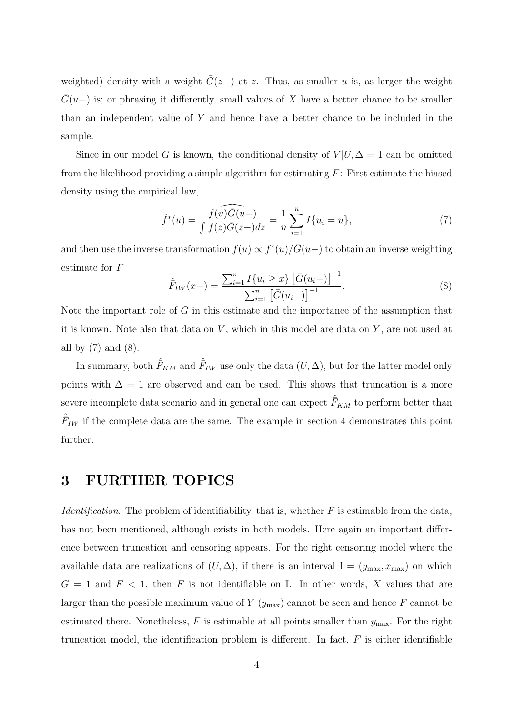weighted) density with a weight  $\bar{G}(z-)$  at z. Thus, as smaller u is, as larger the weight  $\bar{G}(u-)$  is; or phrasing it differently, small values of X have a better chance to be smaller than an independent value of Y and hence have a better chance to be included in the sample.

Since in our model G is known, the conditional density of  $V | U, \Delta = 1$  can be omitted from the likelihood providing a simple algorithm for estimating F: First estimate the biased density using the empirical law,

$$
\hat{f}^*(u) = \frac{f(u)\widehat{G(u-)} }{\int f(z)\overline{G(z-)}dz} = \frac{1}{n}\sum_{i=1}^n I\{u_i = u\},\tag{7}
$$

and then use the inverse transformation  $f(u) \propto f^*(u) / \bar{G}(u-)$  to obtain an inverse weighting estimate for F  $\sum_{n}$ £ t−1<br>1

$$
\hat{F}_{IW}(x-) = \frac{\sum_{i=1}^{n} I\{u_i \ge x\} \left[\bar{G}(u_i-)\right]^{-1}}{\sum_{i=1}^{n} \left[\bar{G}(u_i-)\right]^{-1}}.
$$
\n(8)

Note the important role of G in this estimate and the importance of the assumption that it is known. Note also that data on  $V$ , which in this model are data on  $Y$ , are not used at all by  $(7)$  and  $(8)$ .

In summary, both  $\hat{F}_{KM}$  and  $\hat{F}_{IW}$  use only the data  $(U, \Delta)$ , but for the latter model only points with  $\Delta = 1$  are observed and can be used. This shows that truncation is a more severe incomplete data scenario and in general one can expect  $\hat{F}_{KM}$  to perform better than  $\hat{F}_{IW}$  if the complete data are the same. The example in section 4 demonstrates this point further.

# 3 FURTHER TOPICS

*Identification*. The problem of identifiability, that is, whether  $F$  is estimable from the data. has not been mentioned, although exists in both models. Here again an important difference between truncation and censoring appears. For the right censoring model where the available data are realizations of  $(U, \Delta)$ , if there is an interval  $I = (y_{\text{max}}, x_{\text{max}})$  on which  $G = 1$  and  $F < 1$ , then F is not identifiable on I. In other words, X values that are larger than the possible maximum value of  $Y(y_{\text{max}})$  cannot be seen and hence F cannot be estimated there. Nonetheless,  $F$  is estimable at all points smaller than  $y_{\text{max}}$ . For the right truncation model, the identification problem is different. In fact,  $F$  is either identifiable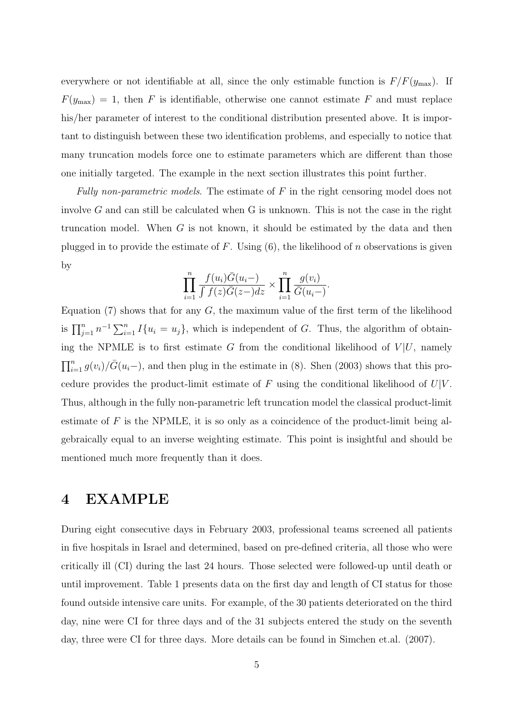everywhere or not identifiable at all, since the only estimable function is  $F/F(y<sub>max</sub>)$ . If  $F(y_{\text{max}}) = 1$ , then F is identifiable, otherwise one cannot estimate F and must replace his/her parameter of interest to the conditional distribution presented above. It is important to distinguish between these two identification problems, and especially to notice that many truncation models force one to estimate parameters which are different than those one initially targeted. The example in the next section illustrates this point further.

Fully non-parametric models. The estimate of  $F$  in the right censoring model does not involve  $G$  and can still be calculated when  $G$  is unknown. This is not the case in the right truncation model. When G is not known, it should be estimated by the data and then plugged in to provide the estimate of  $F$ . Using  $(6)$ , the likelihood of n observations is given by

$$
\prod_{i=1}^n \frac{f(u_i)\overline{G}(u_i-)}{\int f(z)\overline{G}(z-)dz} \times \prod_{i=1}^n \frac{g(v_i)}{\overline{G}(u_i-)}.
$$

Equation  $(7)$  shows that for any G, the maximum value of the first term of the likelihood is  $\prod_{j=1}^n n^{-1} \sum_{i=1}^n I\{u_i = u_j\}$ , which is independent of G. Thus, the algorithm of obtaining the NPMLE is to first estimate G from the conditional likelihood of  $V | U$ , namely  $\prod_{i=1}^{n} g(v_i)/\bar{G}(u_i-)$ , and then plug in the estimate in (8). Shen (2003) shows that this procedure provides the product-limit estimate of  $F$  using the conditional likelihood of  $U|V$ . Thus, although in the fully non-parametric left truncation model the classical product-limit estimate of  $F$  is the NPMLE, it is so only as a coincidence of the product-limit being algebraically equal to an inverse weighting estimate. This point is insightful and should be mentioned much more frequently than it does.

# 4 EXAMPLE

During eight consecutive days in February 2003, professional teams screened all patients in five hospitals in Israel and determined, based on pre-defined criteria, all those who were critically ill (CI) during the last 24 hours. Those selected were followed-up until death or until improvement. Table 1 presents data on the first day and length of CI status for those found outside intensive care units. For example, of the 30 patients deteriorated on the third day, nine were CI for three days and of the 31 subjects entered the study on the seventh day, three were CI for three days. More details can be found in Simchen et.al. (2007).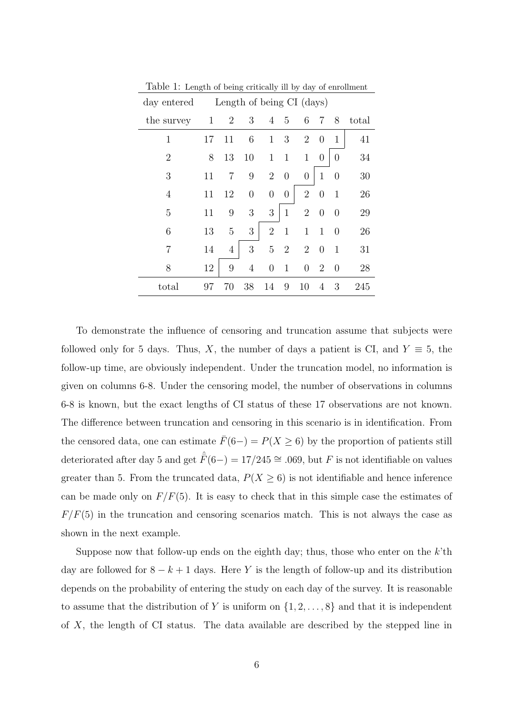| day entered    | Length of being CI (days) |                |                  |                  |                  |                  |                  |                |       |  |
|----------------|---------------------------|----------------|------------------|------------------|------------------|------------------|------------------|----------------|-------|--|
| the survey     | $\mathbf{1}$              | $\overline{2}$ | 3                | $\overline{4}$   | 5                | 6                | 7                | 8              | total |  |
| $\mathbf 1$    | 17                        | 11             | 6                | $\mathbf{1}$     | $\boldsymbol{3}$ | $\overline{2}$   | $\overline{0}$   | $\mathbf{1}$   | 41    |  |
| $\overline{2}$ | 8                         | 13             | 10               | $\mathbf 1$      | $\mathbf{1}$     | $\mathbf{1}$     | $\boldsymbol{0}$ | $\overline{0}$ | 34    |  |
| 3              | 11                        | 7              | 9                | $\overline{2}$   | $\theta$         | $\boldsymbol{0}$ | $\mathbf{1}$     | $\overline{0}$ | 30    |  |
| 4              | 11                        | 12             | $\boldsymbol{0}$ | $\boldsymbol{0}$ | $\boldsymbol{0}$ | $\overline{2}$   | $\theta$         | $\mathbf{1}$   | 26    |  |
| 5              | 11                        | 9              | 3                | 3                | $\mathbf{1}$     | $\overline{2}$   | $\overline{0}$   | $\theta$       | 29    |  |
| 6              | 13                        | 5              | 3                | $\overline{2}$   | $\mathbf{1}$     | $\mathbf{1}$     | $\mathbf{1}$     | $\overline{0}$ | 26    |  |
| 7              | 14                        | $\overline{4}$ | 3                | 5                | $\overline{2}$   | $\overline{2}$   | $\overline{0}$   | $\mathbf{1}$   | 31    |  |
| 8              | 12                        | 9              | $\overline{4}$   | $\boldsymbol{0}$ | $\mathbf{1}$     | $\boldsymbol{0}$ | $\overline{2}$   | $\overline{0}$ | 28    |  |
| total          | 97                        | 70             | 38               | 14               | 9                | 10               | 4                | 3              | 245   |  |

Table 1: Length of being critically ill by day of enrollment

To demonstrate the influence of censoring and truncation assume that subjects were followed only for 5 days. Thus, X, the number of days a patient is CI, and  $Y \equiv 5$ , the follow-up time, are obviously independent. Under the truncation model, no information is given on columns 6-8. Under the censoring model, the number of observations in columns 6-8 is known, but the exact lengths of CI status of these 17 observations are not known. The difference between truncation and censoring in this scenario is in identification. From the censored data, one can estimate  $\bar{F}(6-) = P(X \ge 6)$  by the proportion of patients still deteriorated after day 5 and get  $\hat{F}(6-) = 17/245 \cong .069$ , but F is not identifiable on values greater than 5. From the truncated data,  $P(X \ge 6)$  is not identifiable and hence inference can be made only on  $F/F(5)$ . It is easy to check that in this simple case the estimates of  $F/F(5)$  in the truncation and censoring scenarios match. This is not always the case as shown in the next example.

Suppose now that follow-up ends on the eighth day; thus, those who enter on the  $k$ 'th day are followed for  $8 - k + 1$  days. Here Y is the length of follow-up and its distribution depends on the probability of entering the study on each day of the survey. It is reasonable to assume that the distribution of Y is uniform on  $\{1, 2, \ldots, 8\}$  and that it is independent of X, the length of CI status. The data available are described by the stepped line in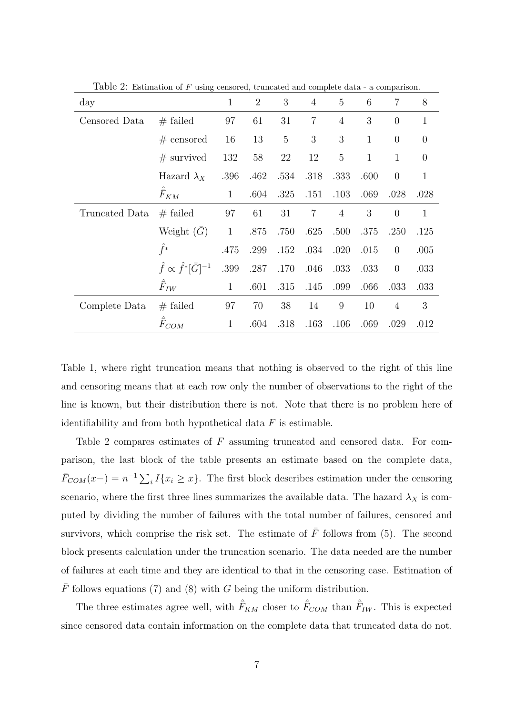| day            |                                            | $\mathbf{1}$   | $\overline{2}$ | 3              | $\overline{4}$ | 5              | 6            | $\overline{7}$ | 8              |
|----------------|--------------------------------------------|----------------|----------------|----------------|----------------|----------------|--------------|----------------|----------------|
| Censored Data  | $#$ failed                                 | 97             | 61             | 31             | $\overline{7}$ | $\overline{4}$ | 3            | $\overline{0}$ | $\mathbf{1}$   |
|                | $#$ censored                               | 16             | 13             | $\overline{5}$ | 3              | 3              | $\mathbf{1}$ | $\overline{0}$ | $\overline{0}$ |
|                | $#$ survived                               | 132            | 58             | 22             | 12             | $\overline{5}$ | $\mathbf{1}$ | $\mathbf{1}$   | $\overline{0}$ |
|                | Hazard $\lambda_X$                         | .396           | .462           | .534           | .318           | .333           | .600         | $\overline{0}$ | $\mathbf{1}$   |
|                | $\hat{\bar{F}}_{KM}$                       | $\mathbf{1}$   | .604           | .325           | .151           | .103           | .069         | .028           | .028           |
| Truncated Data | $#$ failed                                 | 97             | 61             | 31             | $\overline{7}$ | $\overline{4}$ | 3            | $\overline{0}$ | $\mathbf{1}$   |
|                | Weight $(\bar{G})$                         | $\overline{1}$ | .875           | .750           | .625           | .500           | .375         | .250           | .125           |
|                | $\hat{f}^*$                                | .475           | .299           | .152           | .034           | .020           | .015         | $\overline{0}$ | .005           |
|                | $\hat{f} \propto \hat{f}^* [\bar{G}]^{-1}$ | .399           | .287           | .170           | .046           | .033           | .033         | $\overline{0}$ | .033           |
|                | $\bar{F}_{IW}$                             | $\mathbf{1}$   | .601           | .315           | .145           | .099           | .066         | .033           | .033           |
| Complete Data  | $#$ failed                                 | 97             | 70             | 38             | 14             | 9              | 10           | 4              | 3              |
|                | $\hat{\bar{F}}_{COM}$                      | $\mathbf{1}$   | .604           | .318           | .163           | .106           | .069         | .029           | .012           |

Table 2: Estimation of F using censored, truncated and complete data - a comparison.

Table 1, where right truncation means that nothing is observed to the right of this line and censoring means that at each row only the number of observations to the right of the line is known, but their distribution there is not. Note that there is no problem here of identifiability and from both hypothetical data  $F$  is estimable.

Table 2 compares estimates of F assuming truncated and censored data. For comparison, the last block of the table presents an estimate based on the complete data,  $\bar{F}_{COM}(x-) = n^{-1} \sum_i I\{x_i \geq x\}$ . The first block describes estimation under the censoring scenario, where the first three lines summarizes the available data. The hazard  $\lambda_X$  is computed by dividing the number of failures with the total number of failures, censored and survivors, which comprise the risk set. The estimate of  $\bar{F}$  follows from (5). The second block presents calculation under the truncation scenario. The data needed are the number of failures at each time and they are identical to that in the censoring case. Estimation of  $\overline{F}$  follows equations (7) and (8) with G being the uniform distribution.

The three estimates agree well, with  $\hat{F}_{KM}$  closer to  $\hat{F}_{COM}$  than  $\hat{F}_{IW}$ . This is expected since censored data contain information on the complete data that truncated data do not.